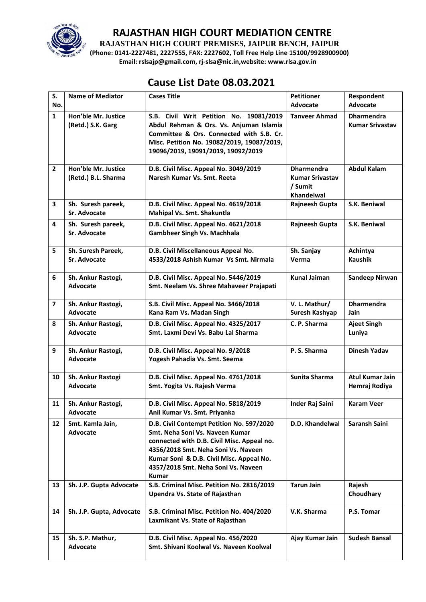

**RAJASTHAN HIGH COURT PREMISES, JAIPUR BENCH, JAIPUR**

**(Phone: 0141-2227481, 2227555, FAX: 2227602, Toll Free Help Line 15100/9928900900) Email: rslsajp@gmail.com, rj-slsa@nic.in,website: www.rlsa.gov.in**

## **Cause List Date 08.03.2021**

| S.                      | <b>Name of Mediator</b>                    | <b>Cases Title</b>                                                                                                                                                                                                                                                   | <b>Petitioner</b>                                                           | Respondent                                  |
|-------------------------|--------------------------------------------|----------------------------------------------------------------------------------------------------------------------------------------------------------------------------------------------------------------------------------------------------------------------|-----------------------------------------------------------------------------|---------------------------------------------|
| No.                     |                                            |                                                                                                                                                                                                                                                                      | <b>Advocate</b>                                                             | Advocate                                    |
| $\mathbf{1}$            | Hon'ble Mr. Justice<br>(Retd.) S.K. Garg   | S.B. Civil Writ Petition No. 19081/2019<br>Abdul Rehman & Ors. Vs. Anjuman Islamia<br>Committee & Ors. Connected with S.B. Cr.<br>Misc. Petition No. 19082/2019, 19087/2019,<br>19096/2019, 19091/2019, 19092/2019                                                   | <b>Tanveer Ahmad</b>                                                        | <b>Dharmendra</b><br><b>Kumar Srivastav</b> |
| $\mathbf{2}$            | Hon'ble Mr. Justice<br>(Retd.) B.L. Sharma | D.B. Civil Misc. Appeal No. 3049/2019<br>Naresh Kumar Vs. Smt. Reeta                                                                                                                                                                                                 | <b>Dharmendra</b><br><b>Kumar Srivastav</b><br>/ Sumit<br><b>Khandelwal</b> | <b>Abdul Kalam</b>                          |
| 3                       | Sh. Suresh pareek,<br><b>Sr. Advocate</b>  | D.B. Civil Misc. Appeal No. 4619/2018<br>Mahipal Vs. Smt. Shakuntla                                                                                                                                                                                                  | Rajneesh Gupta                                                              | S.K. Beniwal                                |
| 4                       | Sh. Suresh pareek,<br>Sr. Advocate         | D.B. Civil Misc. Appeal No. 4621/2018<br><b>Gambheer Singh Vs. Machhala</b>                                                                                                                                                                                          | Rajneesh Gupta                                                              | S.K. Beniwal                                |
| 5                       | Sh. Suresh Pareek,<br><b>Sr. Advocate</b>  | D.B. Civil Miscellaneous Appeal No.<br>4533/2018 Ashish Kumar Vs Smt. Nirmala                                                                                                                                                                                        | Sh. Sanjay<br>Verma                                                         | Achintya<br><b>Kaushik</b>                  |
| 6                       | Sh. Ankur Rastogi,<br>Advocate             | D.B. Civil Misc. Appeal No. 5446/2019<br>Smt. Neelam Vs. Shree Mahaveer Prajapati                                                                                                                                                                                    | <b>Kunal Jaiman</b>                                                         | <b>Sandeep Nirwan</b>                       |
| $\overline{\mathbf{z}}$ | Sh. Ankur Rastogi,<br><b>Advocate</b>      | S.B. Civil Misc. Appeal No. 3466/2018<br>Kana Ram Vs. Madan Singh                                                                                                                                                                                                    | V. L. Mathur/<br>Suresh Kashyap                                             | <b>Dharmendra</b><br>Jain                   |
| 8                       | Sh. Ankur Rastogi,<br>Advocate             | D.B. Civil Misc. Appeal No. 4325/2017<br>Smt. Laxmi Devi Vs. Babu Lal Sharma                                                                                                                                                                                         | C. P. Sharma                                                                | <b>Ajeet Singh</b><br>Luniya                |
| 9                       | Sh. Ankur Rastogi,<br>Advocate             | D.B. Civil Misc. Appeal No. 9/2018<br>Yogesh Pahadia Vs. Smt. Seema                                                                                                                                                                                                  | P.S. Sharma                                                                 | <b>Dinesh Yadav</b>                         |
| 10                      | Sh. Ankur Rastogi<br>Advocate              | D.B. Civil Misc. Appeal No. 4761/2018<br>Smt. Yogita Vs. Rajesh Verma                                                                                                                                                                                                | Sunita Sharma                                                               | <b>Atul Kumar Jain</b><br>Hemraj Rodiya     |
| 11                      | Sh. Ankur Rastogi,<br>Advocate             | D.B. Civil Misc. Appeal No. 5818/2019<br>Anil Kumar Vs. Smt. Priyanka                                                                                                                                                                                                | <b>Inder Raj Saini</b>                                                      | <b>Karam Veer</b>                           |
| 12                      | Smt. Kamla Jain,<br>Advocate               | D.B. Civil Contempt Petition No. 597/2020<br>Smt. Neha Soni Vs. Naveen Kumar<br>connected with D.B. Civil Misc. Appeal no.<br>4356/2018 Smt. Neha Soni Vs. Naveen<br>Kumar Soni & D.B. Civil Misc. Appeal No.<br>4357/2018 Smt. Neha Soni Vs. Naveen<br><b>Kumar</b> | D.D. Khandelwal                                                             | Saransh Saini                               |
| 13                      | Sh. J.P. Gupta Advocate                    | S.B. Criminal Misc. Petition No. 2816/2019<br>Upendra Vs. State of Rajasthan                                                                                                                                                                                         | <b>Tarun Jain</b>                                                           | Rajesh<br>Choudhary                         |
| 14                      | Sh. J.P. Gupta, Advocate                   | S.B. Criminal Misc. Petition No. 404/2020<br>Laxmikant Vs. State of Rajasthan                                                                                                                                                                                        | V.K. Sharma                                                                 | P.S. Tomar                                  |
| 15                      | Sh. S.P. Mathur,<br>Advocate               | D.B. Civil Misc. Appeal No. 456/2020<br>Smt. Shivani Koolwal Vs. Naveen Koolwal                                                                                                                                                                                      | Ajay Kumar Jain                                                             | <b>Sudesh Bansal</b>                        |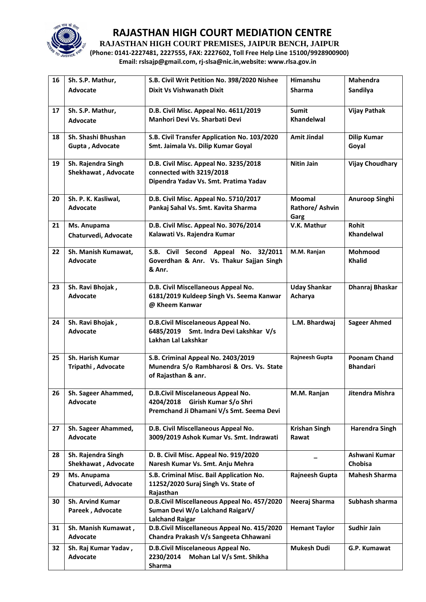

**RAJASTHAN HIGH COURT PREMISES, JAIPUR BENCH, JAIPUR**

**(Phone: 0141-2227481, 2227555, FAX: 2227602, Toll Free Help Line 15100/9928900900) Email: rslsajp@gmail.com, rj-slsa@nic.in,website: www.rlsa.gov.in**

| 16 | Sh. S.P. Mathur,                          | S.B. Civil Writ Petition No. 398/2020 Nishee                                | Himanshu             | Mahendra               |
|----|-------------------------------------------|-----------------------------------------------------------------------------|----------------------|------------------------|
|    | Advocate                                  | Dixit Vs Vishwanath Dixit                                                   | <b>Sharma</b>        | Sandilya               |
|    |                                           |                                                                             |                      |                        |
| 17 | Sh. S.P. Mathur,                          | D.B. Civil Misc. Appeal No. 4611/2019                                       | <b>Sumit</b>         | <b>Vijay Pathak</b>    |
|    | Advocate                                  | Manhori Devi Vs. Sharbati Devi                                              | <b>Khandelwal</b>    |                        |
|    |                                           |                                                                             |                      |                        |
| 18 | Sh. Shashi Bhushan                        | S.B. Civil Transfer Application No. 103/2020                                | <b>Amit Jindal</b>   | <b>Dilip Kumar</b>     |
|    | Gupta, Advocate                           | Smt. Jaimala Vs. Dilip Kumar Goyal                                          |                      | Goyal                  |
|    |                                           | D.B. Civil Misc. Appeal No. 3235/2018                                       |                      |                        |
| 19 | Sh. Rajendra Singh<br>Shekhawat, Advocate | connected with 3219/2018                                                    | <b>Nitin Jain</b>    | <b>Vijay Choudhary</b> |
|    |                                           | Dipendra Yadav Vs. Smt. Pratima Yadav                                       |                      |                        |
|    |                                           |                                                                             |                      |                        |
| 20 | Sh. P. K. Kasliwal,                       | D.B. Civil Misc. Appeal No. 5710/2017                                       | Moomal               | Anuroop Singhi         |
|    | <b>Advocate</b>                           | Pankaj Sahal Vs. Smt. Kavita Sharma                                         | Rathore/ Ashvin      |                        |
|    |                                           |                                                                             | Garg                 |                        |
| 21 | Ms. Anupama                               | D.B. Civil Misc. Appeal No. 3076/2014                                       | V.K. Mathur          | <b>Rohit</b>           |
|    | Chaturvedi, Advocate                      | Kalawati Vs. Rajendra Kumar                                                 |                      | Khandelwal             |
| 22 | Sh. Manish Kumawat,                       | S.B. Civil Second Appeal No. 32/2011                                        | M.M. Ranjan          | Mohmood                |
|    | Advocate                                  | Goverdhan & Anr. Vs. Thakur Sajjan Singh                                    |                      | <b>Khalid</b>          |
|    |                                           | & Anr.                                                                      |                      |                        |
|    |                                           |                                                                             |                      |                        |
| 23 | Sh. Ravi Bhojak,                          | D.B. Civil Miscellaneous Appeal No.                                         | <b>Uday Shankar</b>  | Dhanraj Bhaskar        |
|    | Advocate                                  | 6181/2019 Kuldeep Singh Vs. Seema Kanwar                                    | Acharya              |                        |
|    |                                           | @ Kheem Kanwar                                                              |                      |                        |
|    |                                           |                                                                             |                      |                        |
| 24 | Sh. Ravi Bhojak,<br><b>Advocate</b>       | D.B.Civil Miscelaneous Appeal No.<br>6485/2019 Smt. Indra Devi Lakshkar V/s | L.M. Bhardwaj        | <b>Sageer Ahmed</b>    |
|    |                                           | Lakhan Lal Lakshkar                                                         |                      |                        |
|    |                                           |                                                                             |                      |                        |
| 25 | Sh. Harish Kumar                          | S.B. Criminal Appeal No. 2403/2019                                          | Rajneesh Gupta       | <b>Poonam Chand</b>    |
|    | Tripathi, Advocate                        | Munendra S/o Rambharosi & Ors. Vs. State                                    |                      | <b>Bhandari</b>        |
|    |                                           | of Rajasthan & anr.                                                         |                      |                        |
|    |                                           |                                                                             |                      |                        |
| 26 | Sh. Sageer Ahammed,<br>Advocate           | D.B.Civil Miscelaneous Appeal No.<br>4204/2018 Girish Kumar S/o Shri        | M.M. Ranjan          | Jitendra Mishra        |
|    |                                           | Premchand Ji Dhamani V/s Smt. Seema Devi                                    |                      |                        |
|    |                                           |                                                                             |                      |                        |
| 27 | Sh. Sageer Ahammed,                       | D.B. Civil Miscellaneous Appeal No.                                         | <b>Krishan Singh</b> | <b>Harendra Singh</b>  |
|    | Advocate                                  | 3009/2019 Ashok Kumar Vs. Smt. Indrawati                                    | Rawat                |                        |
|    |                                           |                                                                             |                      |                        |
| 28 | Sh. Rajendra Singh                        | D. B. Civil Misc. Appeal No. 919/2020                                       |                      | Ashwani Kumar          |
|    | Shekhawat, Advocate                       | Naresh Kumar Vs. Smt. Anju Mehra                                            |                      | Chobisa                |
| 29 | Ms. Anupama                               | S.B. Criminal Misc. Bail Application No.                                    | Rajneesh Gupta       | <b>Mahesh Sharma</b>   |
|    | Chaturvedi, Advocate                      | 11252/2020 Suraj Singh Vs. State of                                         |                      |                        |
| 30 | Sh. Arvind Kumar                          | Rajasthan<br>D.B.Civil Miscellaneous Appeal No. 457/2020                    | Neeraj Sharma        | Subhash sharma         |
|    | Pareek, Advocate                          | Suman Devi W/o Lalchand RaigarV/                                            |                      |                        |
|    |                                           | <b>Lalchand Raigar</b>                                                      |                      |                        |
| 31 | Sh. Manish Kumawat,                       | D.B.Civil Miscellaneous Appeal No. 415/2020                                 | <b>Hemant Taylor</b> | <b>Sudhir Jain</b>     |
|    | Advocate                                  | Chandra Prakash V/s Sangeeta Chhawani                                       |                      |                        |
| 32 | Sh. Raj Kumar Yadav,                      | D.B.Civil Miscelaneous Appeal No.                                           | <b>Mukesh Dudi</b>   | G.P. Kumawat           |
|    | Advocate                                  | 2230/2014<br>Mohan Lal V/s Smt. Shikha                                      |                      |                        |
|    |                                           | Sharma                                                                      |                      |                        |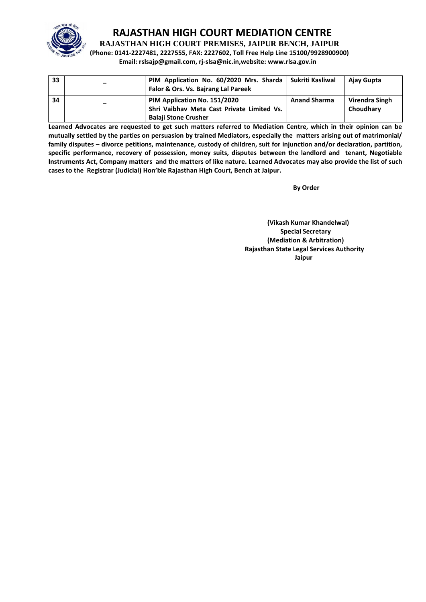

**RAJASTHAN HIGH COURT PREMISES, JAIPUR BENCH, JAIPUR**

**(Phone: 0141-2227481, 2227555, FAX: 2227602, Toll Free Help Line 15100/9928900900) Email: rslsajp@gmail.com, rj-slsa@nic.in,website: www.rlsa.gov.in**

| 33 | PIM Application No. 60/2020 Mrs. Sharda   Sukriti Kasliwal<br>Falor & Ors. Vs. Bajrang Lal Pareek         |                     | Ajay Gupta                  |
|----|-----------------------------------------------------------------------------------------------------------|---------------------|-----------------------------|
| 34 | PIM Application No. 151/2020<br>Shri Vaibhav Meta Cast Private Limited Vs.<br><b>Balaji Stone Crusher</b> | <b>Anand Sharma</b> | Virendra Singh<br>Choudhary |

**Learned Advocates are requested to get such matters referred to Mediation Centre, which in their opinion can be mutually settled by the parties on persuasion by trained Mediators, especially the matters arising out of matrimonial/ family disputes – divorce petitions, maintenance, custody of children, suit for injunction and/or declaration, partition, specific performance, recovery of possession, money suits, disputes between the landlord and tenant, Negotiable Instruments Act, Company matters and the matters of like nature. Learned Advocates may also provide the list of such cases to the Registrar (Judicial) Hon'ble Rajasthan High Court, Bench at Jaipur.** 

**By Order** 

**(Vikash Kumar Khandelwal) Special Secretary (Mediation & Arbitration) Rajasthan State Legal Services Authority Jaipur**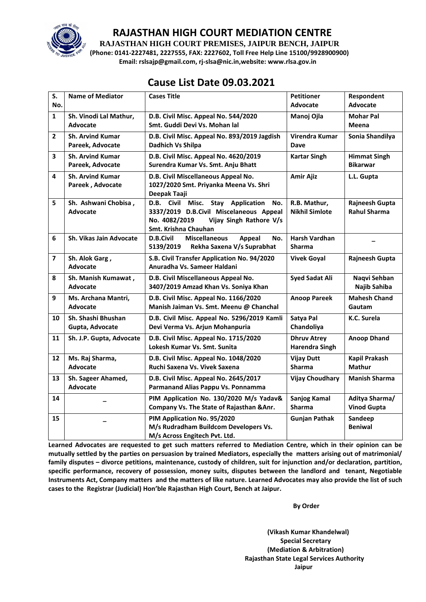

**RAJASTHAN HIGH COURT PREMISES, JAIPUR BENCH, JAIPUR**

**(Phone: 0141-2227481, 2227555, FAX: 2227602, Toll Free Help Line 15100/9928900900) Email: rslsajp@gmail.com, rj-slsa@nic.in,website: www.rlsa.gov.in**

# **Cause List Date 09.03.2021**

| S.<br>No.               | <b>Name of Mediator</b>                     | <b>Cases Title</b>                                                                                                                                                   | <b>Petitioner</b><br><b>Advocate</b>        | Respondent<br><b>Advocate</b>          |
|-------------------------|---------------------------------------------|----------------------------------------------------------------------------------------------------------------------------------------------------------------------|---------------------------------------------|----------------------------------------|
| $\mathbf{1}$            | Sh. Vinodi Lal Mathur,<br><b>Advocate</b>   | D.B. Civil Misc. Appeal No. 544/2020<br>Smt. Guddi Devi Vs. Mohan lal                                                                                                | Manoj Ojla                                  | <b>Mohar Pal</b><br>Meena              |
| $\mathbf{2}$            | <b>Sh. Arvind Kumar</b><br>Pareek, Advocate | D.B. Civil Misc. Appeal No. 893/2019 Jagdish<br>Dadhich Vs Shilpa                                                                                                    | Virendra Kumar<br><b>Dave</b>               | Sonia Shandilya                        |
| 3                       | <b>Sh. Arvind Kumar</b><br>Pareek, Advocate | D.B. Civil Misc. Appeal No. 4620/2019<br>Surendra Kumar Vs. Smt. Anju Bhatt                                                                                          | <b>Kartar Singh</b>                         | <b>Himmat Singh</b><br><b>Bikarwar</b> |
| 4                       | <b>Sh. Arvind Kumar</b><br>Pareek, Advocate | D.B. Civil Miscellaneous Appeal No.<br>1027/2020 Smt. Priyanka Meena Vs. Shri<br>Deepak Taaji                                                                        | <b>Amir Ajiz</b>                            | L.L. Gupta                             |
| 5                       | Sh. Ashwani Chobisa,<br><b>Advocate</b>     | <b>Stay</b> Application<br>Civil Misc.<br>D.B.<br>No.<br>3337/2019 D.B.Civil Miscelaneous Appeal<br>No. 4082/2019<br>Vijay Singh Rathore V/s<br>Smt. Krishna Chauhan | R.B. Mathur,<br><b>Nikhil Simlote</b>       | Rajneesh Gupta<br><b>Rahul Sharma</b>  |
| 6                       | <b>Sh. Vikas Jain Advocate</b>              | <b>Miscellaneous</b><br><b>D.B.Civil</b><br><b>Appeal</b><br>No.<br>Rekha Saxena V/s Suprabhat<br>5139/2019                                                          | Harsh Vardhan<br><b>Sharma</b>              |                                        |
| $\overline{\mathbf{z}}$ | Sh. Alok Garg,<br>Advocate                  | S.B. Civil Transfer Application No. 94/2020<br>Anuradha Vs. Sameer Haldani                                                                                           | <b>Vivek Goyal</b>                          | Rajneesh Gupta                         |
| 8                       | Sh. Manish Kumawat,<br>Advocate             | D.B. Civil Miscellaneous Appeal No.<br>3407/2019 Amzad Khan Vs. Soniya Khan                                                                                          | <b>Syed Sadat Ali</b>                       | Naqvi Sehban<br>Najib Sahiba           |
| 9                       | Ms. Archana Mantri,<br>Advocate             | D.B. Civil Misc. Appeal No. 1166/2020<br>Manish Jaiman Vs. Smt. Meenu @ Chanchal                                                                                     | <b>Anoop Pareek</b>                         | <b>Mahesh Chand</b><br>Gautam          |
| 10                      | Sh. Shashi Bhushan<br>Gupta, Advocate       | D.B. Civil Misc. Appeal No. 5296/2019 Kamli<br>Devi Verma Vs. Arjun Mohanpuria                                                                                       | Satya Pal<br>Chandoliya                     | K.C. Surela                            |
| 11                      | Sh. J.P. Gupta, Advocate                    | D.B. Civil Misc. Appeal No. 1715/2020<br>Lokesh Kumar Vs. Smt. Sunita                                                                                                | <b>Dhruv Atrey</b><br><b>Harendra Singh</b> | <b>Anoop Dhand</b>                     |
| 12                      | Ms. Raj Sharma,<br><b>Advocate</b>          | D.B. Civil Misc. Appeal No. 1048/2020<br>Ruchi Saxena Vs. Vivek Saxena                                                                                               | <b>Vijay Dutt</b><br><b>Sharma</b>          | Kapil Prakash<br><b>Mathur</b>         |
| 13                      | Sh. Sageer Ahamed,<br>Advocate              | D.B. Civil Misc. Appeal No. 2645/2017<br>Parmanand Alias Pappu Vs. Ponnamma                                                                                          | <b>Vijay Choudhary</b>                      | <b>Manish Sharma</b>                   |
| 14                      |                                             | PIM Application No. 130/2020 M/s Yadav&<br>Company Vs. The State of Rajasthan & Anr.                                                                                 | <b>Sanjog Kamal</b><br><b>Sharma</b>        | Aditya Sharma/<br><b>Vinod Gupta</b>   |
| 15                      |                                             | PIM Application No. 95/2020<br>M/s Rudradham Buildcom Developers Vs.<br>M/s Across Engitech Pvt. Ltd.                                                                | <b>Gunjan Pathak</b>                        | Sandeep<br><b>Beniwal</b>              |

**Learned Advocates are requested to get such matters referred to Mediation Centre, which in their opinion can be mutually settled by the parties on persuasion by trained Mediators, especially the matters arising out of matrimonial/ family disputes – divorce petitions, maintenance, custody of children, suit for injunction and/or declaration, partition, specific performance, recovery of possession, money suits, disputes between the landlord and tenant, Negotiable Instruments Act, Company matters and the matters of like nature. Learned Advocates may also provide the list of such cases to the Registrar (Judicial) Hon'ble Rajasthan High Court, Bench at Jaipur.** 

**By Order** 

**(Vikash Kumar Khandelwal) Special Secretary (Mediation & Arbitration) Rajasthan State Legal Services Authority Jaipur**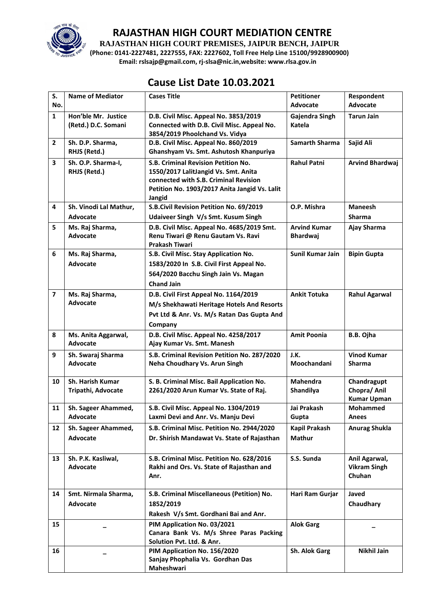

**RAJASTHAN HIGH COURT PREMISES, JAIPUR BENCH, JAIPUR**

**(Phone: 0141-2227481, 2227555, FAX: 2227602, Toll Free Help Line 15100/9928900900) Email: rslsajp@gmail.com, rj-slsa@nic.in,website: www.rlsa.gov.in**

## **Cause List Date 10.03.2021**

| S.             | <b>Name of Mediator</b>                    | <b>Cases Title</b>                                                                                                                                                              | <b>Petitioner</b>                      | Respondent                                        |
|----------------|--------------------------------------------|---------------------------------------------------------------------------------------------------------------------------------------------------------------------------------|----------------------------------------|---------------------------------------------------|
| No.            |                                            |                                                                                                                                                                                 | <b>Advocate</b>                        | <b>Advocate</b>                                   |
| $\mathbf{1}$   | Hon'ble Mr. Justice<br>(Retd.) D.C. Somani | D.B. Civil Misc. Appeal No. 3853/2019<br>Connected with D.B. Civil Misc. Appeal No.<br>3854/2019 Phoolchand Vs. Vidya                                                           | Gajendra Singh<br>Katela               | <b>Tarun Jain</b>                                 |
| $\mathbf{2}$   | Sh. D.P. Sharma,<br>RHJS (Retd.)           | D.B. Civil Misc. Appeal No. 860/2019<br>Ghanshyam Vs. Smt. Ashutosh Khanpuriya                                                                                                  | <b>Samarth Sharma</b>                  | Sajid Ali                                         |
| 3              | Sh. O.P. Sharma-I,<br>RHJS (Retd.)         | S.B. Criminal Revision Petition No.<br>1550/2017 LalitJangid Vs. Smt. Anita<br>connected with S.B. Criminal Revision<br>Petition No. 1903/2017 Anita Jangid Vs. Lalit<br>Jangid | <b>Rahul Patni</b>                     | <b>Arvind Bhardwaj</b>                            |
| 4              | Sh. Vinodi Lal Mathur,<br>Advocate         | S.B.Civil Revision Petition No. 69/2019<br>Udaiveer Singh V/s Smt. Kusum Singh                                                                                                  | O.P. Mishra                            | <b>Maneesh</b><br><b>Sharma</b>                   |
| 5              | Ms. Raj Sharma,<br><b>Advocate</b>         | D.B. Civil Misc. Appeal No. 4685/2019 Smt.<br>Renu Tiwari @ Renu Gautam Vs. Ravi<br><b>Prakash Tiwari</b>                                                                       | <b>Arvind Kumar</b><br><b>Bhardwaj</b> | Ajay Sharma                                       |
| 6              | Ms. Raj Sharma,<br><b>Advocate</b>         | S.B. Civil Misc. Stay Application No.<br>1583/2020 In S.B. Civil First Appeal No.<br>564/2020 Bacchu Singh Jain Vs. Magan<br><b>Chand Jain</b>                                  | Sunil Kumar Jain                       | <b>Bipin Gupta</b>                                |
| $\overline{7}$ | Ms. Raj Sharma,<br><b>Advocate</b>         | D.B. Civil First Appeal No. 1164/2019<br>M/s Shekhawati Heritage Hotels And Resorts<br>Pvt Ltd & Anr. Vs. M/s Ratan Das Gupta And<br>Company                                    | <b>Ankit Totuka</b>                    | <b>Rahul Agarwal</b>                              |
| 8              | Ms. Anita Aggarwal,<br>Advocate            | D.B. Civil Misc. Appeal No. 4258/2017<br>Ajay Kumar Vs. Smt. Manesh                                                                                                             | <b>Amit Poonia</b>                     | B.B. Ojha                                         |
| 9              | Sh. Swaraj Sharma<br>Advocate              | S.B. Criminal Revision Petition No. 287/2020<br>Neha Choudhary Vs. Arun Singh                                                                                                   | J.K.<br>Moochandani                    | <b>Vinod Kumar</b><br><b>Sharma</b>               |
| 10             | Sh. Harish Kumar<br>Tripathi, Advocate     | S. B. Criminal Misc. Bail Application No.<br>2261/2020 Arun Kumar Vs. State of Raj.                                                                                             | <b>Mahendra</b><br>Shandilya           | Chandragupt<br>Chopra/ Anil<br><b>Kumar Upman</b> |
| 11             | Sh. Sageer Ahammed,<br>Advocate            | S.B. Civil Misc. Appeal No. 1304/2019<br>Laxmi Devi and Anr. Vs. Manju Devi                                                                                                     | Jai Prakash<br>Gupta                   | <b>Mohammed</b><br>Anees                          |
| 12             | Sh. Sageer Ahammed,<br>Advocate            | S.B. Criminal Misc. Petition No. 2944/2020<br>Dr. Shirish Mandawat Vs. State of Rajasthan                                                                                       | Kapil Prakash<br><b>Mathur</b>         | <b>Anurag Shukla</b>                              |
| 13             | Sh. P.K. Kasliwal,<br>Advocate             | S.B. Criminal Misc. Petition No. 628/2016<br>Rakhi and Ors. Vs. State of Rajasthan and<br>Anr.                                                                                  | S.S. Sunda                             | Anil Agarwal,<br><b>Vikram Singh</b><br>Chuhan    |
| 14             | Smt. Nirmala Sharma,<br>Advocate           | S.B. Criminal Miscellaneous (Petition) No.<br>1852/2019<br>Rakesh V/s Smt. Gordhani Bai and Anr.                                                                                | Hari Ram Gurjar                        | Javed<br>Chaudhary                                |
| 15             |                                            | PIM Application No. 03/2021                                                                                                                                                     | <b>Alok Garg</b>                       |                                                   |
|                |                                            | Canara Bank Vs. M/s Shree Paras Packing<br>Solution Pvt. Ltd. & Anr.<br>PIM Application No. 156/2020                                                                            | Sh. Alok Garg                          |                                                   |